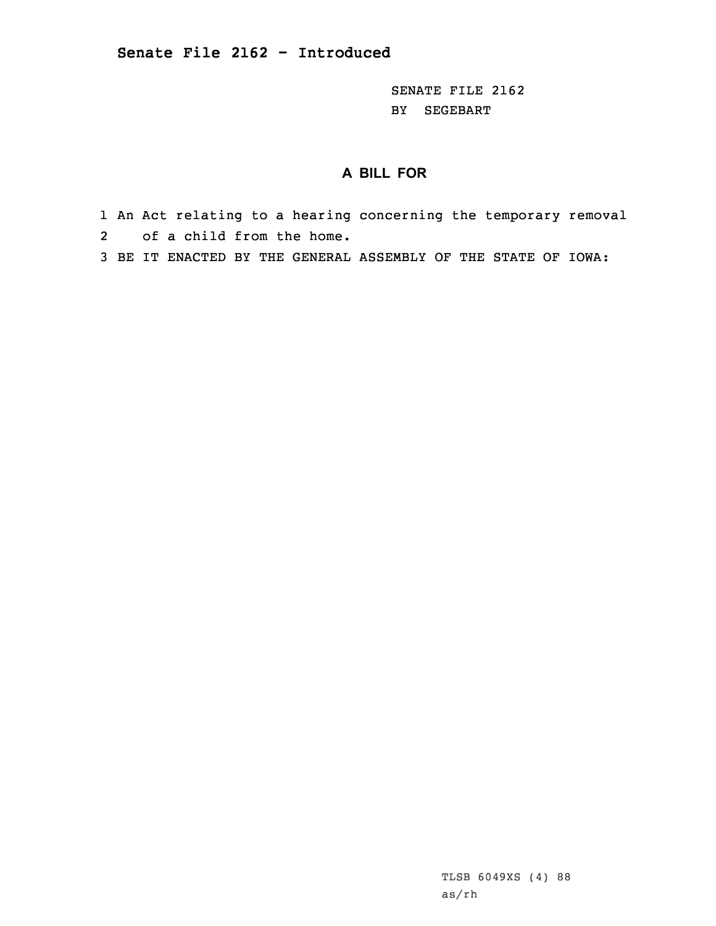SENATE FILE 2162 BY SEGEBART

## **A BILL FOR**

1 An Act relating to <sup>a</sup> hearing concerning the temporary removal 2 of <sup>a</sup> child from the home.

3 BE IT ENACTED BY THE GENERAL ASSEMBLY OF THE STATE OF IOWA:

TLSB 6049XS (4) 88 as/rh